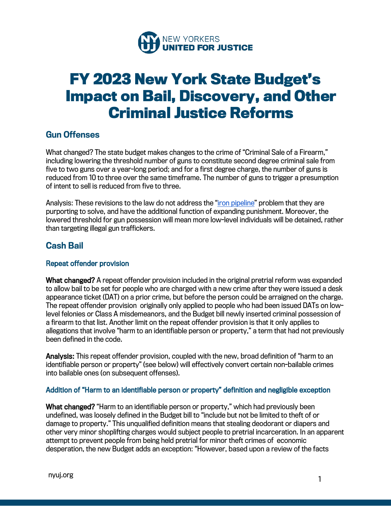

# **FY 2023 New York State Budget's Impact on Bail, Discovery, and Other Criminal Justice Reforms**

## Gun Offenses

What changed? The state budget makes changes to the crime of "Criminal Sale of a Firearm," including lowering the threshold number of guns to constitute second degree criminal sale from five to two guns over a year-long period; and for a first degree charge, the number of guns is reduced from 10 to three over the same timeframe. The number of guns to trigger a presumption of intent to sell is reduced from five to three.

Analysis: These revisions to the law do not address the "iron pipeline" problem that they are purporting to solve, and have the additional function of expanding punishment. Moreover, the lowered threshold for gun possession will mean more low-level individuals will be detained, rather than targeting illegal gun traffickers.

## Cash Bail

#### Repeat offender provision

What changed? A repeat offender provision included in the original pretrial reform was expanded to allow bail to be set for people who are charged with a new crime after they were issued a desk appearance ticket (DAT) on a prior crime, but before the person could be arraigned on the charge. The repeat offender provision originally only applied to people who had been issued DATs on lowlevel felonies or Class A misdemeanors, and the Budget bill newly inserted criminal possession of a firearm to that list. Another limit on the repeat offender provision is that it only applies to allegations that involve "harm to an identifiable person or property," a term that had not previously been defined in the code.

Analysis: This repeat offender provision, coupled with the new, broad definition of "harm to an identifiable person or property" (see below) will effectively convert certain non-bailable crimes into bailable ones (on subsequent offenses).

#### Addition of "Harm to an identifiable person or property" definition and negligible exception

What changed? "Harm to an identifiable person or property," which had previously been undefined, was loosely defined in the Budget bill to "include but not be limited to theft of or damage to property." This unqualified definition means that stealing deodorant or diapers and other very minor shoplifting charges would subject people to pretrial incarceration. In an apparent attempt to prevent people from being held pretrial for minor theft crimes of economic desperation, the new Budget adds an exception: "However, based upon a review of the facts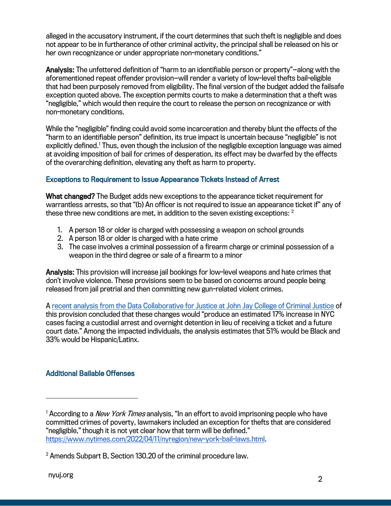alleged in the accusatory instrument, if the court determines that such theft is negligible and does not appear to be in furtherance of other criminal activity, the principal shall be released on his or her own recognizance or under appropriate non-monetary conditions."

Analysis: The unfettered definition of "harm to an identifiable person or property"—along with the aforementioned repeat offender provision—will render a variety of low-level thefts bail-eligible that had been purposely removed from eligibility. The final version of the budget added the failsafe exception quoted above. The exception permits courts to make a determination that a theft was "negligible," which would then require the court to release the person on recognizance or with non-monetary conditions.

While the "negligible" finding could avoid some incarceration and thereby blunt the effects of the "harm to an identifiable person" definition, its true impact is uncertain because "negligible" is not explicitly defined.<sup>1</sup> Thus, even though the inclusion of the negligible exception language was aimed at avoiding imposition of bail for crimes of desperation, its effect may be dwarfed by the effects of the overarching definition, elevating any theft as harm to property.

#### Exceptions to Requirement to Issue Appearance Tickets Instead of Arrest

What changed? The Budget adds new exceptions to the appearance ticket requirement for warrantless arrests, so that "(b) An officer is not required to issue an appearance ticket if" any of these three new conditions are met, in addition to the seven existing exceptions: <sup>2</sup>

- 1. A person 18 or older is charged with possessing a weapon on school grounds
- 2. A person 18 or older is charged with a hate crime
- 3. The case involves a criminal possession of a firearm charge or criminal possession of a weapon in the third degree or sale of a firearm to a minor

Analysis: This provision will increase jail bookings for low-level weapons and hate crimes that don't involve violence. These provisions seem to be based on concerns around people being released from jail pretrial and then committing new gun-related violent crimes.

A recent analysis from the Data Collaborative for Justice at John Jay College of Criminal Justice of this provision concluded that these changes would "produce an estimated 17% increase in NYC cases facing a custodial arrest and overnight detention in lieu of receiving a ticket and a future court date." Among the impacted individuals, the analysis estimates that 51% would be Black and 33% would be Hispanic/Latinx.

#### Additional Bailable Offenses

<sup>&</sup>lt;sup>1</sup> According to a *New York Times* analysis, "In an effort to avoid imprisoning people who have committed crimes of poverty, lawmakers included an exception for thefts that are considered "negligible," though it is not yet clear how that term will be defined." https://www.nytimes.com/2022/04/11/nyregion/new-york-bail-laws.html.

<sup>2</sup> Amends Subpart B, Section 130.20 of the criminal procedure law.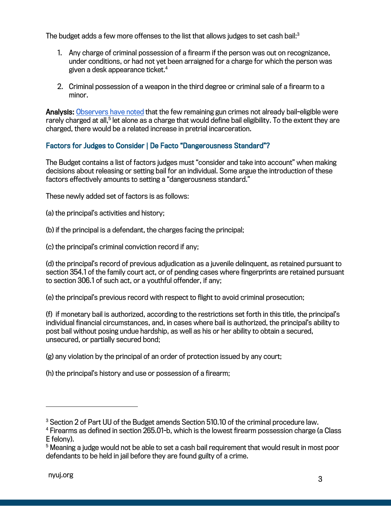The budget adds a few more offenses to the list that allows judges to set cash bail: $^3$ 

- 1. Any charge of criminal possession of a firearm if the person was out on recognizance, under conditions, or had not yet been arraigned for a charge for which the person was given a desk appearance ticket.4
- 2. Criminal possession of a weapon in the third degree or criminal sale of a firearm to a minor.

Analysis: Observers have noted that the few remaining gun crimes not already bail-eligible were rarely charged at all,<sup>5</sup> let alone as a charge that would define bail eligibility. To the extent they are charged, there would be a related increase in pretrial incarceration.

#### Factors for Judges to Consider | De Facto "Dangerousness Standard"?

The Budget contains a list of factors judges must "consider and take into account" when making decisions about releasing or setting bail for an individual. Some argue the introduction of these factors effectively amounts to setting a "dangerousness standard."

These newly added set of factors is as follows:

(a) the principal's activities and history;

(b) if the principal is a defendant, the charges facing the principal;

(c) the principal's criminal conviction record if any;

(d) the principal's record of previous adjudication as a juvenile delinquent, as retained pursuant to section 354.1 of the family court act, or of pending cases where fingerprints are retained pursuant to section 306.1 of such act, or a youthful offender, if any;

(e) the principal's previous record with respect to flight to avoid criminal prosecution;

(f) if monetary bail is authorized, according to the restrictions set forth in this title, the principal's individual financial circumstances, and, in cases where bail is authorized, the principal's ability to post bail without posing undue hardship, as well as his or her ability to obtain a secured, unsecured, or partially secured bond;

(g) any violation by the principal of an order of protection issued by any court;

(h) the principal's history and use or possession of a firearm;

<sup>&</sup>lt;sup>3</sup> Section 2 of Part UU of the Budget amends Section 510.10 of the criminal procedure law.

<sup>4</sup> Firearms as defined in section 265.01-b, which is the lowest firearm possession charge (a Class E felony).

<sup>&</sup>lt;sup>5</sup> Meaning a judge would not be able to set a cash bail requirement that would result in most poor defendants to be held in jail before they are found guilty of a crime.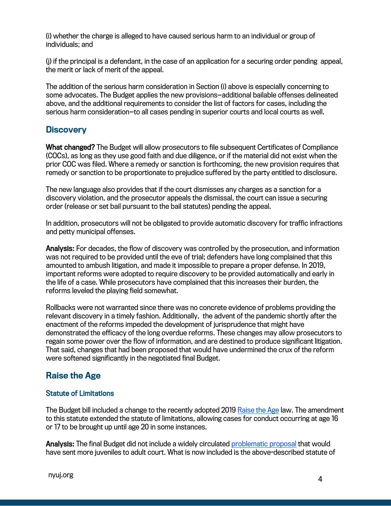(i) whether the charge is alleged to have caused serious harm to an individual or group of individuals; and

(j) if the principal is a defendant, in the case of an application for a securing order pending appeal, the merit or lack of merit of the appeal.

The addition of the serious harm consideration in Section (i) above is especially concerning to some advocates. The Budget applies the new provisions—additional bailable offenses delineated above, and the additional requirements to consider the list of factors for cases, including the serious harm consideration—to all cases pending in superior courts and local courts as well.

### **Discovery**

What changed? The Budget will allow prosecutors to file subsequent Certificates of Compliance (COCs), as long as they use good faith and due diligence, or if the material did not exist when the prior COC was filed. Where a remedy or sanction is forthcoming, the new provision requires that remedy or sanction to be proportionate to prejudice suffered by the party entitled to disclosure.

The new language also provides that if the court dismisses any charges as a sanction for a discovery violation, and the prosecutor appeals the dismissal, the court can issue a securing order (release or set bail pursuant to the bail statutes) pending the appeal.

In addition, prosecutors will not be obligated to provide automatic discovery for traffic infractions and petty municipal offenses.

Analysis: For decades, the flow of discovery was controlled by the prosecution, and information was not required to be provided until the eve of trial; defenders have long complained that this amounted to ambush litigation, and made it impossible to prepare a proper defense. In 2019, important reforms were adopted to require discovery to be provided automatically and early in the life of a case. While prosecutors have complained that this increases their burden, the reforms leveled the playing field somewhat.

Rollbacks were not warranted since there was no concrete evidence of problems providing the relevant discovery in a timely fashion. Additionally, the advent of the pandemic shortly after the enactment of the reforms impeded the development of jurisprudence that might have demonstrated the efficacy of the long overdue reforms. These changes may allow prosecutors to regain some power over the flow of information, and are destined to produce significant litigation. That said, changes that had been proposed that would have undermined the crux of the reform were softened significantly in the negotiated final Budget.

## Raise the Age

#### Statute of Limitations

The Budget bill included a change to the recently adopted 2019 Raise the Age law. The amendment to this statute extended the statute of limitations, allowing cases for conduct occurring at age 16 or 17 to be brought up until age 20 in some instances.

Analysis: The final Budget did not include a widely circulated problematic proposal that would have sent more juveniles to adult court. What is now included is the above-described statute of